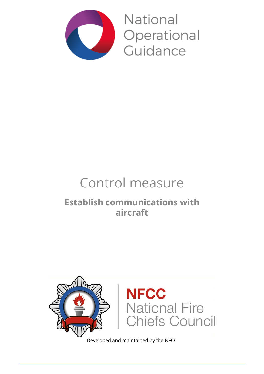

National Operational Guidance

# Control measure

# **Establish communications with aircraft**



Developed and maintained by the NFCC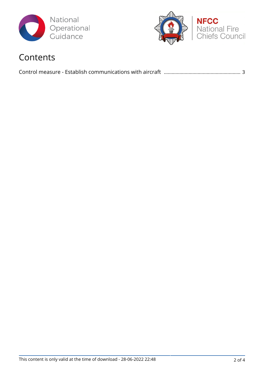



### Contents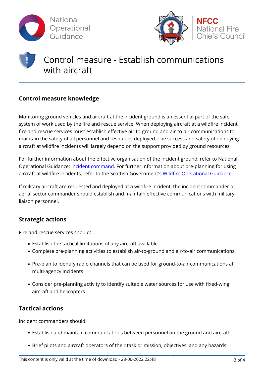



## Control measure - Establish communications with aircraft

### **Control measure knowledge**

Monitoring ground vehicles and aircraft at the incident ground is an essential part of the safe system of work used by the fire and rescue service. When deploying aircraft at a wildfire incident, fire and rescue services must establish effective air-to-ground and air-to-air communications to maintain the safety of all personnel and resources deployed. The success and safety of deploying aircraft at wildfire incidents will largely depend on the support provided by ground resources.

For further information about the effective organisation of the incident ground, refer to National Operational Guidance: [Incident command.](http://www.ukfrs.com/admin/structure/eck/entity/promos/12675) For further information about pre-planning for using aircraft at wildfire incidents, refer to the Scottish Government's [Wildfire Operational Guidance](https://www.ukfrs.com/sites/default/files/2017-09/Fire%20and%20Rescue%20Service%20Wildfire%20Operational%20Guidance.pdf).

If military aircraft are requested and deployed at a wildfire incident, the incident commander or aerial sector commander should establish and maintain effective communications with military liaison personnel.

#### **Strategic actions**

Fire and rescue services should:

- Establish the tactical limitations of any aircraft available
- Complete pre-planning activities to establish air-to-ground and air-to-air communications
- Pre-plan to identify radio channels that can be used for ground-to-air communications at multi-agency incidents
- Consider pre-planning activity to identify suitable water sources for use with fixed-wing aircraft and helicopters

### **Tactical actions**

Incident commanders should:

- Establish and maintain communications between personnel on the ground and aircraft
- Brief pilots and aircraft operators of their task or mission, objectives, and any hazards